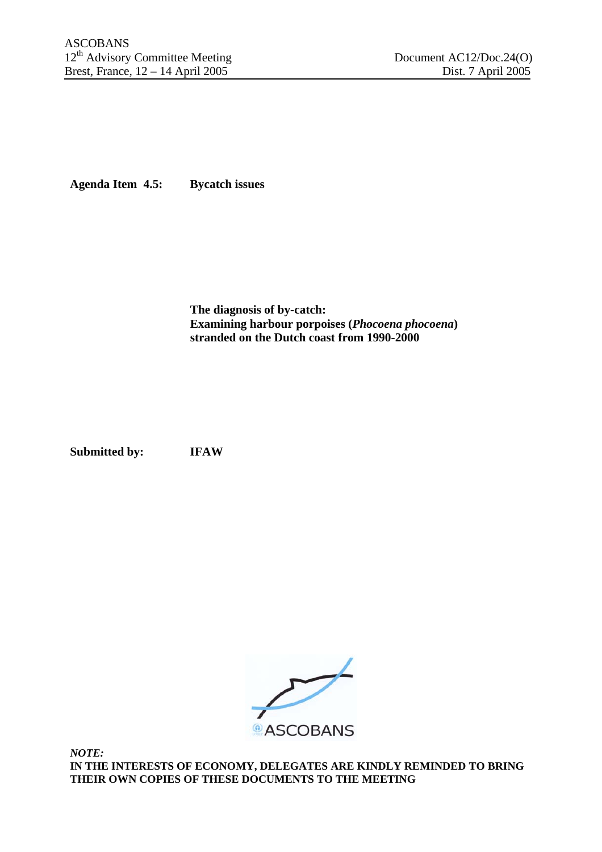**Agenda Item 4.5: Bycatch issues** 

**The diagnosis of by-catch: Examining harbour porpoises (***Phocoena phocoena***) stranded on the Dutch coast from 1990-2000** 

**Submitted by: IFAW** 



*NOTE:*  **IN THE INTERESTS OF ECONOMY, DELEGATES ARE KINDLY REMINDED TO BRING THEIR OWN COPIES OF THESE DOCUMENTS TO THE MEETING**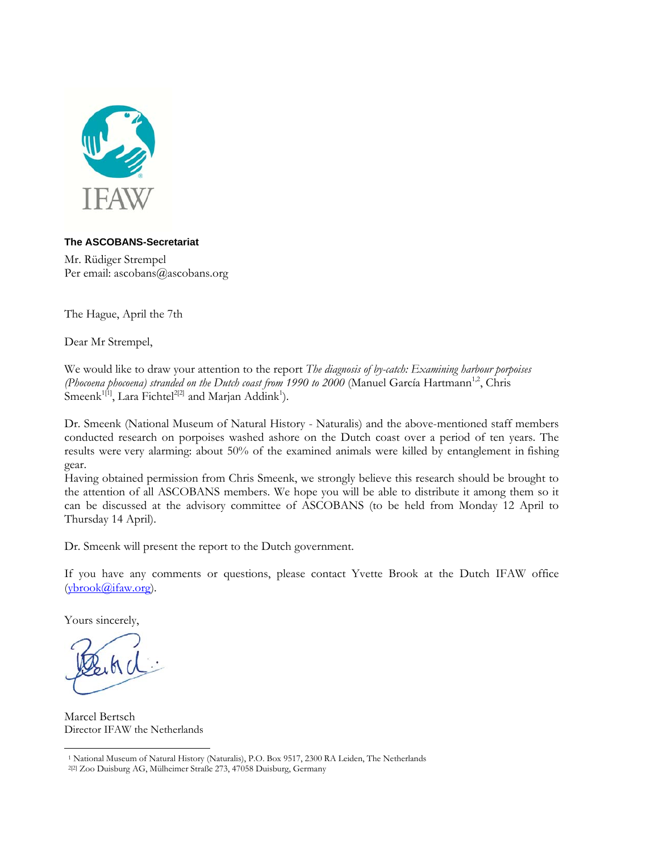

#### **The ASCOBANS-Secretariat**

Mr. Rüdiger Strempel Per email: ascobans@ascobans.org

The Hague, April the 7th

Dear Mr Strempel,

We would like to draw your attention to the report *The diagnosis of by-catch: Examining harbour porpoises (Phocoena phocoena) stranded on the Dutch coast from 1990 to 2000 (Manuel García Hartmann<sup>1,2</sup>, Chris* Smeenk<sup>1[1</sup>], Lara Fichtel<sup>2[2]</sup> and Marjan Addink<sup>1</sup>).

Dr. Smeenk (National Museum of Natural History - Naturalis) and the above-mentioned staff members conducted research on porpoises washed ashore on the Dutch coast over a period of ten years. The results were very alarming: about 50% of the examined animals were killed by entanglement in fishing gear.

Having obtained permission from Chris Smeenk, we strongly believe this research should be brought to the attention of all ASCOBANS members. We hope you will be able to distribute it among them so it can be discussed at the advisory committee of ASCOBANS (to be held from Monday 12 April to Thursday 14 April).

Dr. Smeenk will present the report to the Dutch government.

If you have any comments or questions, please contact Yvette Brook at the Dutch IFAW office (ybrook@ifaw.org).

Yours sincerely,

 $\overline{a}$ 

Marcel Bertsch Director IFAW the Netherlands

<sup>1</sup> National Museum of Natural History (Naturalis), P.O. Box 9517, 2300 RA Leiden, The Netherlands

<sup>2[2]</sup> Zoo Duisburg AG, Mülheimer Straße 273, 47058 Duisburg, Germany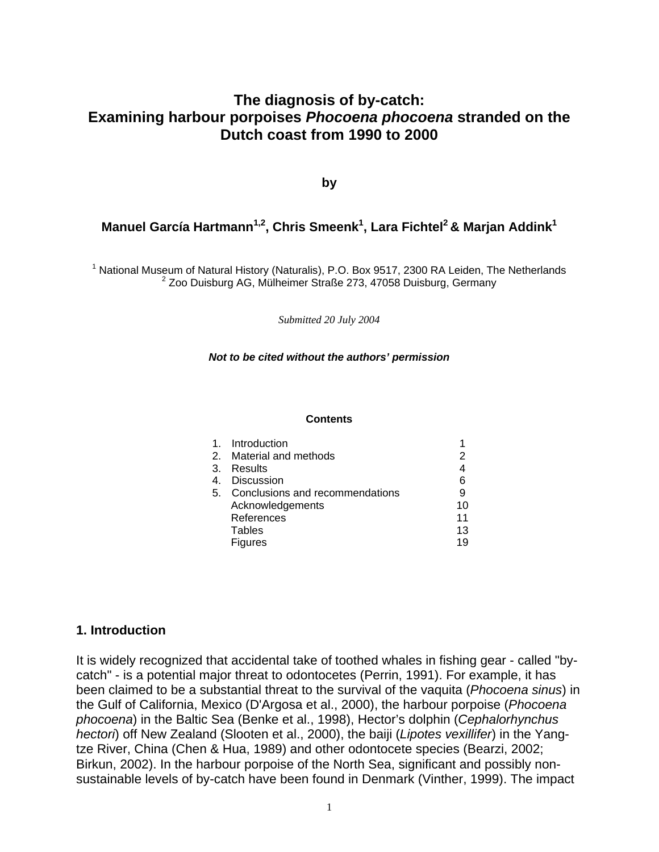## **The diagnosis of by-catch: Examining harbour porpoises** *Phocoena phocoena* **stranded on the Dutch coast from 1990 to 2000**

**by** 

### Manuel García Hartmann<sup>1,2</sup>, Chris Smeenk<sup>1</sup>, Lara Fichtel<sup>2</sup> & Marjan Addink<sup>1</sup>

<sup>1</sup> National Museum of Natural History (Naturalis), P.O. Box 9517, 2300 RA Leiden, The Netherlands<br><sup>2</sup> Zee Duisburg A.C. Mülbeimer Streße 273, 47058 Duisburg Cermany  $2$  Zoo Duisburg AG, Mülheimer Straße 273, 47058 Duisburg, Germany

*Submitted 20 July 2004*

#### *Not to be cited without the authors' permission*

#### **Contents**

| 1 <sub>1</sub> | Introduction                    |    |
|----------------|---------------------------------|----|
| 2.             | Material and methods            | 2  |
| 3.             | Results                         | 4  |
| 4.             | <b>Discussion</b>               | 6  |
| 5.             | Conclusions and recommendations | 9  |
|                | Acknowledgements                | 10 |
|                | References                      | 11 |
|                | <b>Tables</b>                   | 13 |
|                | <b>Figures</b>                  | 19 |
|                |                                 |    |

#### **1. Introduction**

It is widely recognized that accidental take of toothed whales in fishing gear - called "bycatch" - is a potential major threat to odontocetes (Perrin, 1991). For example, it has been claimed to be a substantial threat to the survival of the vaquita (*Phocoena sinus*) in the Gulf of California, Mexico (D'Argosa et al., 2000), the harbour porpoise (*Phocoena phocoena*) in the Baltic Sea (Benke et al., 1998), Hector's dolphin (*Cephalorhynchus hectori*) off New Zealand (Slooten et al., 2000), the baiji (*Lipotes vexillifer*) in the Yangtze River, China (Chen & Hua, 1989) and other odontocete species (Bearzi, 2002; Birkun, 2002). In the harbour porpoise of the North Sea, significant and possibly nonsustainable levels of by-catch have been found in Denmark (Vinther, 1999). The impact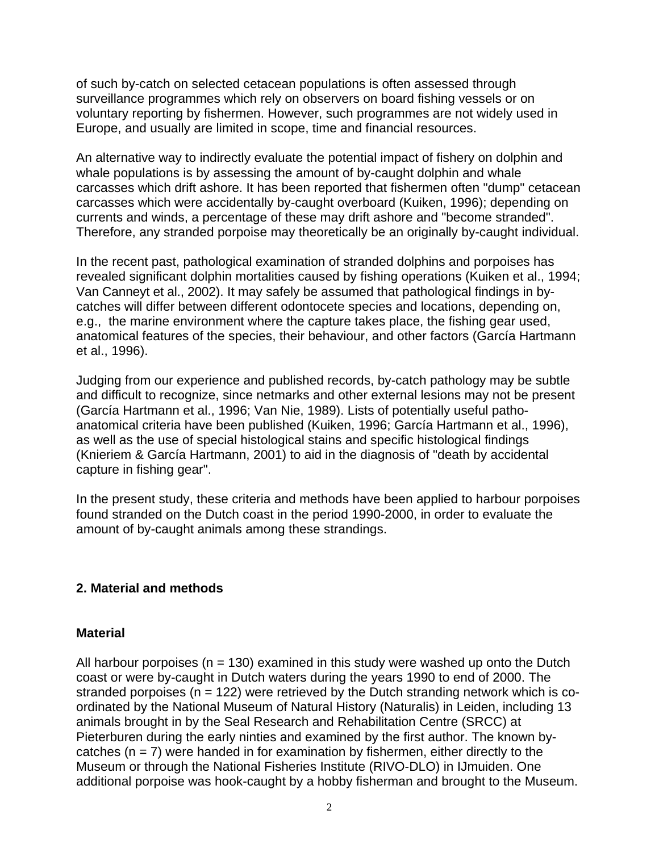of such by-catch on selected cetacean populations is often assessed through surveillance programmes which rely on observers on board fishing vessels or on voluntary reporting by fishermen. However, such programmes are not widely used in Europe, and usually are limited in scope, time and financial resources.

An alternative way to indirectly evaluate the potential impact of fishery on dolphin and whale populations is by assessing the amount of by-caught dolphin and whale carcasses which drift ashore. It has been reported that fishermen often "dump" cetacean carcasses which were accidentally by-caught overboard (Kuiken, 1996); depending on currents and winds, a percentage of these may drift ashore and "become stranded". Therefore, any stranded porpoise may theoretically be an originally by-caught individual.

In the recent past, pathological examination of stranded dolphins and porpoises has revealed significant dolphin mortalities caused by fishing operations (Kuiken et al., 1994; Van Canneyt et al., 2002). It may safely be assumed that pathological findings in bycatches will differ between different odontocete species and locations, depending on, e.g., the marine environment where the capture takes place, the fishing gear used, anatomical features of the species, their behaviour, and other factors (García Hartmann et al., 1996).

Judging from our experience and published records, by-catch pathology may be subtle and difficult to recognize, since netmarks and other external lesions may not be present (García Hartmann et al., 1996; Van Nie, 1989). Lists of potentially useful pathoanatomical criteria have been published (Kuiken, 1996; García Hartmann et al., 1996), as well as the use of special histological stains and specific histological findings (Knieriem & García Hartmann, 2001) to aid in the diagnosis of "death by accidental capture in fishing gear".

In the present study, these criteria and methods have been applied to harbour porpoises found stranded on the Dutch coast in the period 1990-2000, in order to evaluate the amount of by-caught animals among these strandings.

### **2. Material and methods**

#### **Material**

All harbour porpoises ( $n = 130$ ) examined in this study were washed up onto the Dutch coast or were by-caught in Dutch waters during the years 1990 to end of 2000. The stranded porpoises ( $n = 122$ ) were retrieved by the Dutch stranding network which is coordinated by the National Museum of Natural History (Naturalis) in Leiden, including 13 animals brought in by the Seal Research and Rehabilitation Centre (SRCC) at Pieterburen during the early ninties and examined by the first author. The known bycatches  $(n = 7)$  were handed in for examination by fishermen, either directly to the Museum or through the National Fisheries Institute (RIVO-DLO) in IJmuiden. One additional porpoise was hook-caught by a hobby fisherman and brought to the Museum.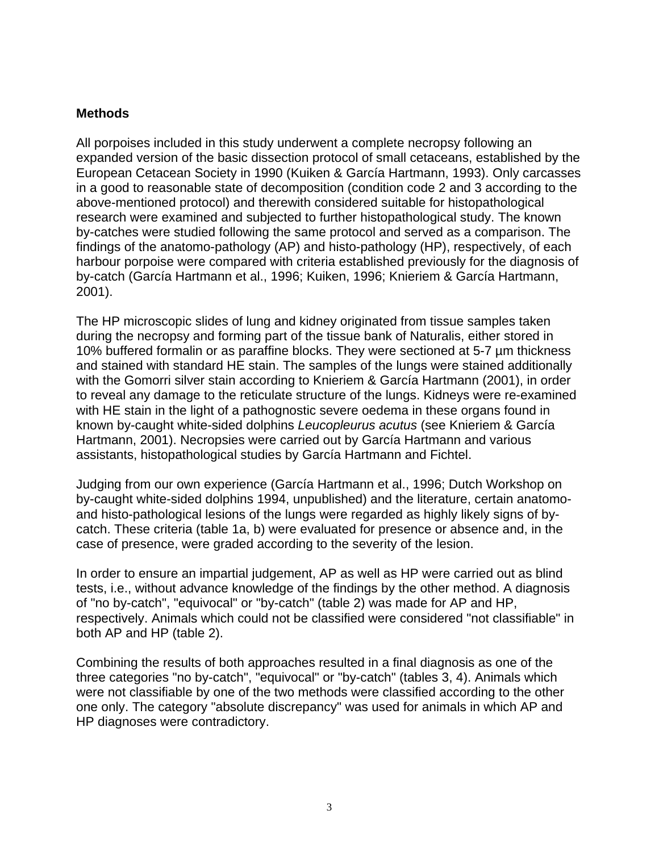#### **Methods**

All porpoises included in this study underwent a complete necropsy following an expanded version of the basic dissection protocol of small cetaceans, established by the European Cetacean Society in 1990 (Kuiken & García Hartmann, 1993). Only carcasses in a good to reasonable state of decomposition (condition code 2 and 3 according to the above-mentioned protocol) and therewith considered suitable for histopathological research were examined and subjected to further histopathological study. The known by-catches were studied following the same protocol and served as a comparison. The findings of the anatomo-pathology (AP) and histo-pathology (HP), respectively, of each harbour porpoise were compared with criteria established previously for the diagnosis of by-catch (García Hartmann et al., 1996; Kuiken, 1996; Knieriem & García Hartmann, 2001).

The HP microscopic slides of lung and kidney originated from tissue samples taken during the necropsy and forming part of the tissue bank of Naturalis, either stored in 10% buffered formalin or as paraffine blocks. They were sectioned at 5-7 µm thickness and stained with standard HE stain. The samples of the lungs were stained additionally with the Gomorri silver stain according to Knieriem & García Hartmann (2001), in order to reveal any damage to the reticulate structure of the lungs. Kidneys were re-examined with HE stain in the light of a pathognostic severe oedema in these organs found in known by-caught white-sided dolphins *Leucopleurus acutus* (see Knieriem & García Hartmann, 2001). Necropsies were carried out by García Hartmann and various assistants, histopathological studies by García Hartmann and Fichtel.

Judging from our own experience (García Hartmann et al., 1996; Dutch Workshop on by-caught white-sided dolphins 1994, unpublished) and the literature, certain anatomoand histo-pathological lesions of the lungs were regarded as highly likely signs of bycatch. These criteria (table 1a, b) were evaluated for presence or absence and, in the case of presence, were graded according to the severity of the lesion.

In order to ensure an impartial judgement, AP as well as HP were carried out as blind tests, i.e., without advance knowledge of the findings by the other method. A diagnosis of "no by-catch", "equivocal" or "by-catch" (table 2) was made for AP and HP, respectively. Animals which could not be classified were considered "not classifiable" in both AP and HP (table 2).

Combining the results of both approaches resulted in a final diagnosis as one of the three categories "no by-catch", "equivocal" or "by-catch" (tables 3, 4). Animals which were not classifiable by one of the two methods were classified according to the other one only. The category "absolute discrepancy" was used for animals in which AP and HP diagnoses were contradictory.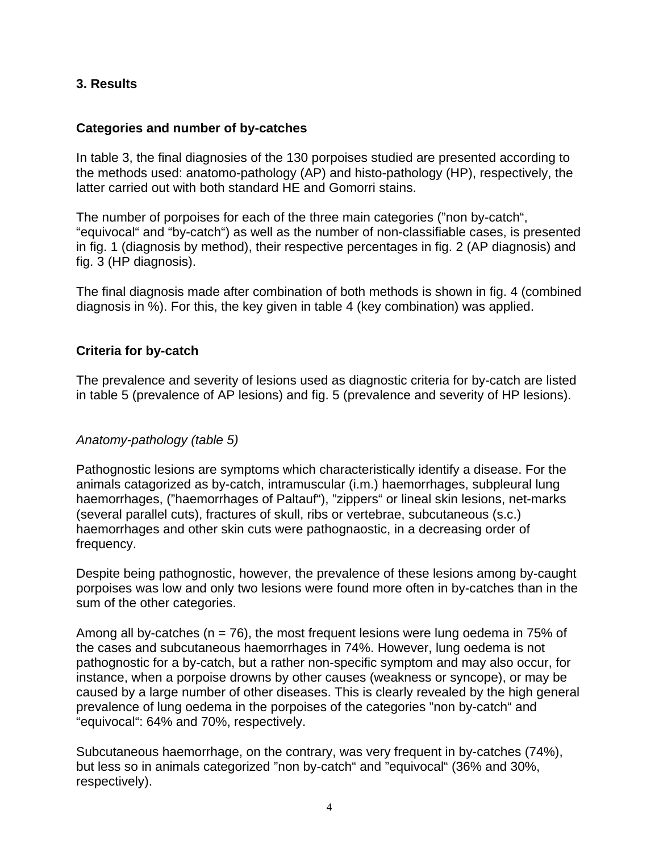### **3. Results**

#### **Categories and number of by-catches**

In table 3, the final diagnosies of the 130 porpoises studied are presented according to the methods used: anatomo-pathology (AP) and histo-pathology (HP), respectively, the latter carried out with both standard HE and Gomorri stains.

The number of porpoises for each of the three main categories ("non by-catch", "equivocal" and "by-catch") as well as the number of non-classifiable cases, is presented in fig. 1 (diagnosis by method), their respective percentages in fig. 2 (AP diagnosis) and fig. 3 (HP diagnosis).

The final diagnosis made after combination of both methods is shown in fig. 4 (combined diagnosis in %). For this, the key given in table 4 (key combination) was applied.

#### **Criteria for by-catch**

The prevalence and severity of lesions used as diagnostic criteria for by-catch are listed in table 5 (prevalence of AP lesions) and fig. 5 (prevalence and severity of HP lesions).

#### *Anatomy-pathology (table 5)*

Pathognostic lesions are symptoms which characteristically identify a disease. For the animals catagorized as by-catch, intramuscular (i.m.) haemorrhages, subpleural lung haemorrhages, ("haemorrhages of Paltauf"), "zippers" or lineal skin lesions, net-marks (several parallel cuts), fractures of skull, ribs or vertebrae, subcutaneous (s.c.) haemorrhages and other skin cuts were pathognaostic, in a decreasing order of frequency.

Despite being pathognostic, however, the prevalence of these lesions among by-caught porpoises was low and only two lesions were found more often in by-catches than in the sum of the other categories.

Among all by-catches ( $n = 76$ ), the most frequent lesions were lung oedema in 75% of the cases and subcutaneous haemorrhages in 74%. However, lung oedema is not pathognostic for a by-catch, but a rather non-specific symptom and may also occur, for instance, when a porpoise drowns by other causes (weakness or syncope), or may be caused by a large number of other diseases. This is clearly revealed by the high general prevalence of lung oedema in the porpoises of the categories "non by-catch" and "equivocal": 64% and 70%, respectively.

Subcutaneous haemorrhage, on the contrary, was very frequent in by-catches (74%), but less so in animals categorized "non by-catch" and "equivocal" (36% and 30%, respectively).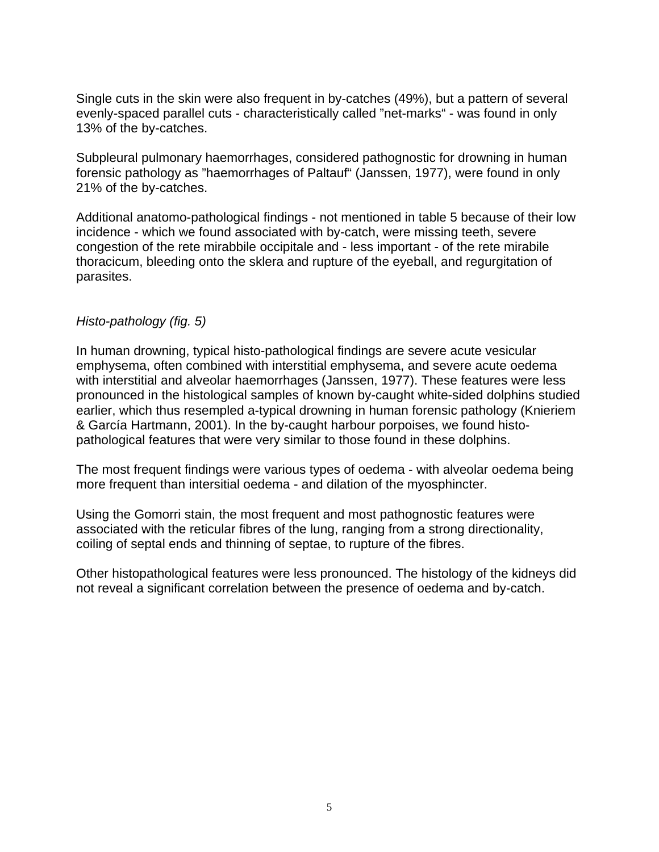Single cuts in the skin were also frequent in by-catches (49%), but a pattern of several evenly-spaced parallel cuts - characteristically called "net-marks" - was found in only 13% of the by-catches.

Subpleural pulmonary haemorrhages, considered pathognostic for drowning in human forensic pathology as "haemorrhages of Paltauf" (Janssen, 1977), were found in only 21% of the by-catches.

Additional anatomo-pathological findings - not mentioned in table 5 because of their low incidence - which we found associated with by-catch, were missing teeth, severe congestion of the rete mirabbile occipitale and - less important - of the rete mirabile thoracicum, bleeding onto the sklera and rupture of the eyeball, and regurgitation of parasites.

#### *Histo-pathology (fig. 5)*

In human drowning, typical histo-pathological findings are severe acute vesicular emphysema, often combined with interstitial emphysema, and severe acute oedema with interstitial and alveolar haemorrhages (Janssen, 1977). These features were less pronounced in the histological samples of known by-caught white-sided dolphins studied earlier, which thus resempled a-typical drowning in human forensic pathology (Knieriem & García Hartmann, 2001). In the by-caught harbour porpoises, we found histopathological features that were very similar to those found in these dolphins.

The most frequent findings were various types of oedema - with alveolar oedema being more frequent than intersitial oedema - and dilation of the myosphincter.

Using the Gomorri stain, the most frequent and most pathognostic features were associated with the reticular fibres of the lung, ranging from a strong directionality, coiling of septal ends and thinning of septae, to rupture of the fibres.

Other histopathological features were less pronounced. The histology of the kidneys did not reveal a significant correlation between the presence of oedema and by-catch.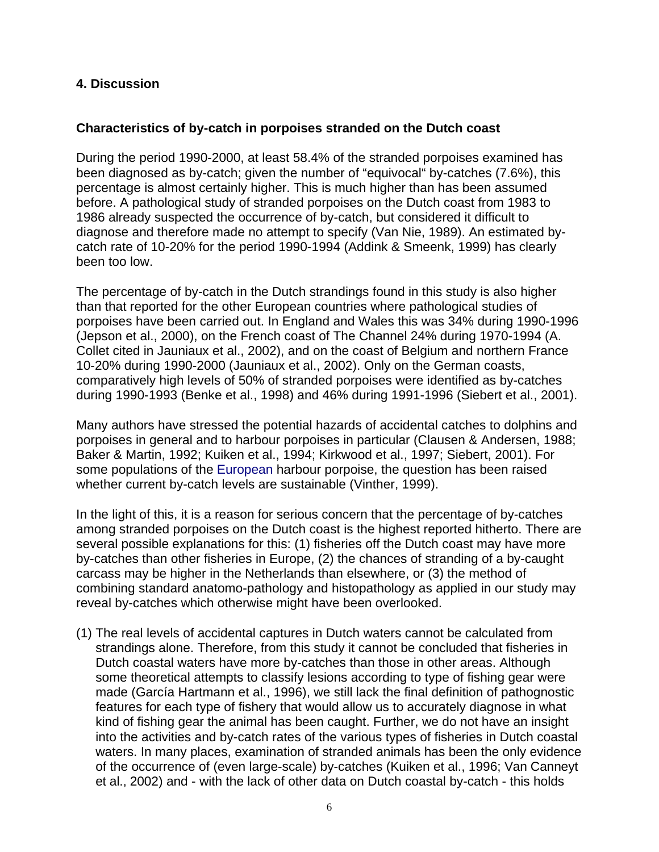#### **4. Discussion**

#### **Characteristics of by-catch in porpoises stranded on the Dutch coast**

During the period 1990-2000, at least 58.4% of the stranded porpoises examined has been diagnosed as by-catch; given the number of "equivocal" by-catches (7.6%), this percentage is almost certainly higher. This is much higher than has been assumed before. A pathological study of stranded porpoises on the Dutch coast from 1983 to 1986 already suspected the occurrence of by-catch, but considered it difficult to diagnose and therefore made no attempt to specify (Van Nie, 1989). An estimated bycatch rate of 10-20% for the period 1990-1994 (Addink & Smeenk, 1999) has clearly been too low.

The percentage of by-catch in the Dutch strandings found in this study is also higher than that reported for the other European countries where pathological studies of porpoises have been carried out. In England and Wales this was 34% during 1990-1996 (Jepson et al., 2000), on the French coast of The Channel 24% during 1970-1994 (A. Collet cited in Jauniaux et al., 2002), and on the coast of Belgium and northern France 10-20% during 1990-2000 (Jauniaux et al., 2002). Only on the German coasts, comparatively high levels of 50% of stranded porpoises were identified as by-catches during 1990-1993 (Benke et al., 1998) and 46% during 1991-1996 (Siebert et al., 2001).

Many authors have stressed the potential hazards of accidental catches to dolphins and porpoises in general and to harbour porpoises in particular (Clausen & Andersen, 1988; Baker & Martin, 1992; Kuiken et al., 1994; Kirkwood et al., 1997; Siebert, 2001). For some populations of the European harbour porpoise, the question has been raised whether current by-catch levels are sustainable (Vinther, 1999).

In the light of this, it is a reason for serious concern that the percentage of by-catches among stranded porpoises on the Dutch coast is the highest reported hitherto. There are several possible explanations for this: (1) fisheries off the Dutch coast may have more by-catches than other fisheries in Europe, (2) the chances of stranding of a by-caught carcass may be higher in the Netherlands than elsewhere, or (3) the method of combining standard anatomo-pathology and histopathology as applied in our study may reveal by-catches which otherwise might have been overlooked.

(1) The real levels of accidental captures in Dutch waters cannot be calculated from strandings alone. Therefore, from this study it cannot be concluded that fisheries in Dutch coastal waters have more by-catches than those in other areas. Although some theoretical attempts to classify lesions according to type of fishing gear were made (García Hartmann et al., 1996), we still lack the final definition of pathognostic features for each type of fishery that would allow us to accurately diagnose in what kind of fishing gear the animal has been caught. Further, we do not have an insight into the activities and by-catch rates of the various types of fisheries in Dutch coastal waters. In many places, examination of stranded animals has been the only evidence of the occurrence of (even large-scale) by-catches (Kuiken et al., 1996; Van Canneyt et al., 2002) and - with the lack of other data on Dutch coastal by-catch - this holds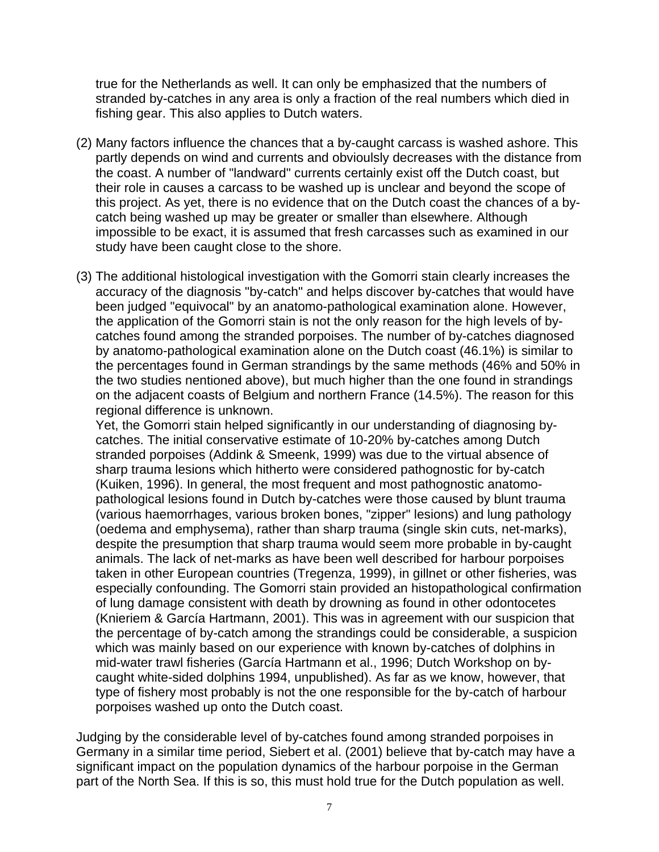true for the Netherlands as well. It can only be emphasized that the numbers of stranded by-catches in any area is only a fraction of the real numbers which died in fishing gear. This also applies to Dutch waters.

- (2) Many factors influence the chances that a by-caught carcass is washed ashore. This partly depends on wind and currents and obvioulsly decreases with the distance from the coast. A number of "landward" currents certainly exist off the Dutch coast, but their role in causes a carcass to be washed up is unclear and beyond the scope of this project. As yet, there is no evidence that on the Dutch coast the chances of a bycatch being washed up may be greater or smaller than elsewhere. Although impossible to be exact, it is assumed that fresh carcasses such as examined in our study have been caught close to the shore.
- (3) The additional histological investigation with the Gomorri stain clearly increases the accuracy of the diagnosis "by-catch" and helps discover by-catches that would have been judged "equivocal" by an anatomo-pathological examination alone. However, the application of the Gomorri stain is not the only reason for the high levels of bycatches found among the stranded porpoises. The number of by-catches diagnosed by anatomo-pathological examination alone on the Dutch coast (46.1%) is similar to the percentages found in German strandings by the same methods (46% and 50% in the two studies nentioned above), but much higher than the one found in strandings on the adjacent coasts of Belgium and northern France (14.5%). The reason for this regional difference is unknown.

Yet, the Gomorri stain helped significantly in our understanding of diagnosing bycatches. The initial conservative estimate of 10-20% by-catches among Dutch stranded porpoises (Addink & Smeenk, 1999) was due to the virtual absence of sharp trauma lesions which hitherto were considered pathognostic for by-catch (Kuiken, 1996). In general, the most frequent and most pathognostic anatomopathological lesions found in Dutch by-catches were those caused by blunt trauma (various haemorrhages, various broken bones, "zipper" lesions) and lung pathology (oedema and emphysema), rather than sharp trauma (single skin cuts, net-marks), despite the presumption that sharp trauma would seem more probable in by-caught animals. The lack of net-marks as have been well described for harbour porpoises taken in other European countries (Tregenza, 1999), in gillnet or other fisheries, was especially confounding. The Gomorri stain provided an histopathological confirmation of lung damage consistent with death by drowning as found in other odontocetes (Knieriem & García Hartmann, 2001). This was in agreement with our suspicion that the percentage of by-catch among the strandings could be considerable, a suspicion which was mainly based on our experience with known by-catches of dolphins in mid-water trawl fisheries (García Hartmann et al., 1996; Dutch Workshop on bycaught white-sided dolphins 1994, unpublished). As far as we know, however, that type of fishery most probably is not the one responsible for the by-catch of harbour porpoises washed up onto the Dutch coast.

Judging by the considerable level of by-catches found among stranded porpoises in Germany in a similar time period, Siebert et al. (2001) believe that by-catch may have a significant impact on the population dynamics of the harbour porpoise in the German part of the North Sea. If this is so, this must hold true for the Dutch population as well.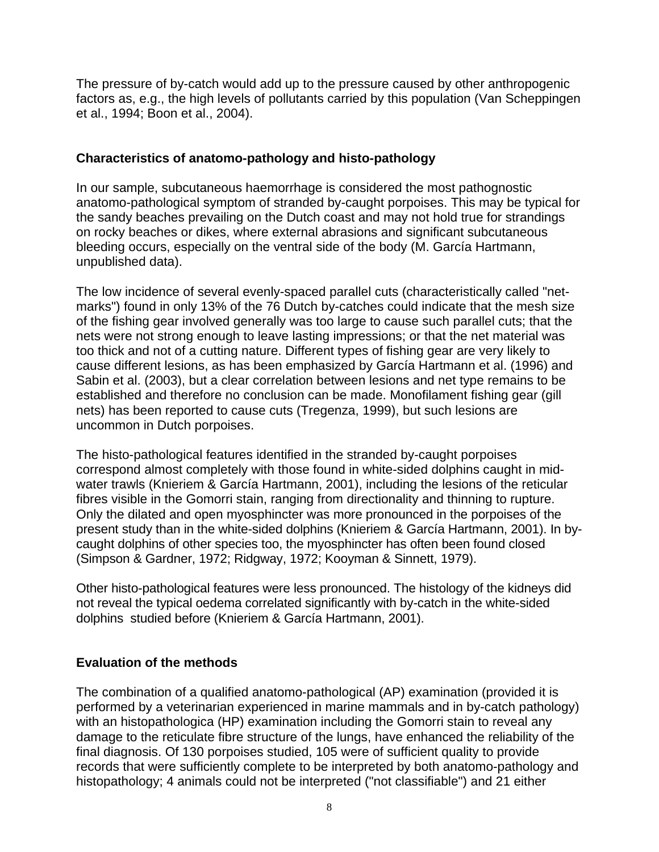The pressure of by-catch would add up to the pressure caused by other anthropogenic factors as, e.g., the high levels of pollutants carried by this population (Van Scheppingen et al., 1994; Boon et al., 2004).

### **Characteristics of anatomo-pathology and histo-pathology**

In our sample, subcutaneous haemorrhage is considered the most pathognostic anatomo-pathological symptom of stranded by-caught porpoises. This may be typical for the sandy beaches prevailing on the Dutch coast and may not hold true for strandings on rocky beaches or dikes, where external abrasions and significant subcutaneous bleeding occurs, especially on the ventral side of the body (M. García Hartmann, unpublished data).

The low incidence of several evenly-spaced parallel cuts (characteristically called "netmarks") found in only 13% of the 76 Dutch by-catches could indicate that the mesh size of the fishing gear involved generally was too large to cause such parallel cuts; that the nets were not strong enough to leave lasting impressions; or that the net material was too thick and not of a cutting nature. Different types of fishing gear are very likely to cause different lesions, as has been emphasized by García Hartmann et al. (1996) and Sabin et al. (2003), but a clear correlation between lesions and net type remains to be established and therefore no conclusion can be made. Monofilament fishing gear (gill nets) has been reported to cause cuts (Tregenza, 1999), but such lesions are uncommon in Dutch porpoises.

The histo-pathological features identified in the stranded by-caught porpoises correspond almost completely with those found in white-sided dolphins caught in midwater trawls (Knieriem & García Hartmann, 2001), including the lesions of the reticular fibres visible in the Gomorri stain, ranging from directionality and thinning to rupture. Only the dilated and open myosphincter was more pronounced in the porpoises of the present study than in the white-sided dolphins (Knieriem & García Hartmann, 2001). In bycaught dolphins of other species too, the myosphincter has often been found closed (Simpson & Gardner, 1972; Ridgway, 1972; Kooyman & Sinnett, 1979).

Other histo-pathological features were less pronounced. The histology of the kidneys did not reveal the typical oedema correlated significantly with by-catch in the white-sided dolphins studied before (Knieriem & García Hartmann, 2001).

### **Evaluation of the methods**

The combination of a qualified anatomo-pathological (AP) examination (provided it is performed by a veterinarian experienced in marine mammals and in by-catch pathology) with an histopathologica (HP) examination including the Gomorri stain to reveal any damage to the reticulate fibre structure of the lungs, have enhanced the reliability of the final diagnosis. Of 130 porpoises studied, 105 were of sufficient quality to provide records that were sufficiently complete to be interpreted by both anatomo-pathology and histopathology; 4 animals could not be interpreted ("not classifiable") and 21 either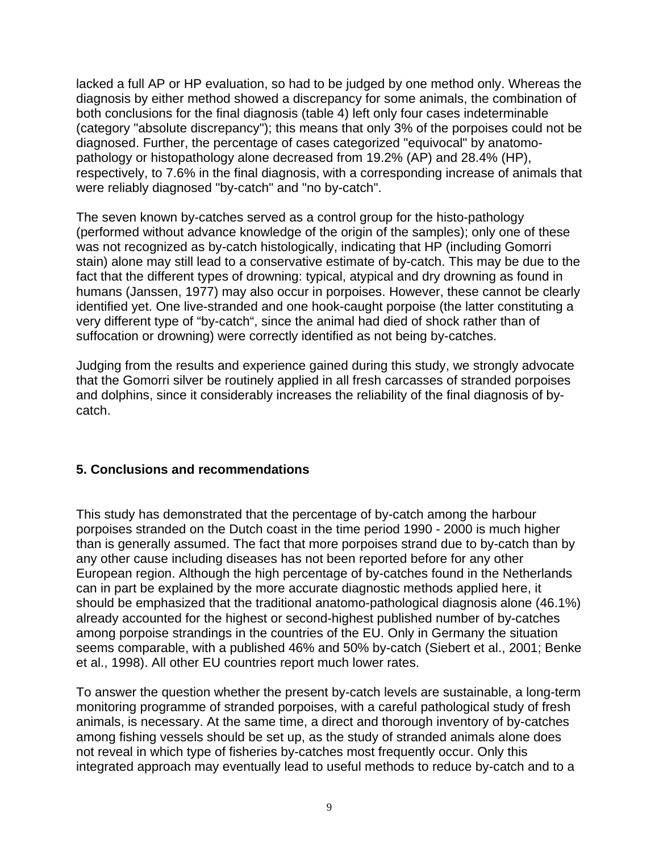lacked a full AP or HP evaluation, so had to be judged by one method only. Whereas the diagnosis by either method showed a discrepancy for some animals, the combination of both conclusions for the final diagnosis (table 4) left only four cases indeterminable (category "absolute discrepancy"); this means that only 3% of the porpoises could not be diagnosed. Further, the percentage of cases categorized "equivocal" by anatomopathology or histopathology alone decreased from 19.2% (AP) and 28.4% (HP), respectively, to 7.6% in the final diagnosis, with a corresponding increase of animals that were reliably diagnosed "by-catch" and "no by-catch".

The seven known by-catches served as a control group for the histo-pathology (performed without advance knowledge of the origin of the samples); only one of these was not recognized as by-catch histologically, indicating that HP (including Gomorri stain) alone may still lead to a conservative estimate of by-catch. This may be due to the fact that the different types of drowning: typical, atypical and dry drowning as found in humans (Janssen, 1977) may also occur in porpoises. However, these cannot be clearly identified yet. One live-stranded and one hook-caught porpoise (the latter constituting a very different type of "by-catch", since the animal had died of shock rather than of suffocation or drowning) were correctly identified as not being by-catches.

Judging from the results and experience gained during this study, we strongly advocate that the Gomorri silver be routinely applied in all fresh carcasses of stranded porpoises and dolphins, since it considerably increases the reliability of the final diagnosis of bycatch.

### **5. Conclusions and recommendations**

This study has demonstrated that the percentage of by-catch among the harbour porpoises stranded on the Dutch coast in the time period 1990 - 2000 is much higher than is generally assumed. The fact that more porpoises strand due to by-catch than by any other cause including diseases has not been reported before for any other European region. Although the high percentage of by-catches found in the Netherlands can in part be explained by the more accurate diagnostic methods applied here, it should be emphasized that the traditional anatomo-pathological diagnosis alone (46.1%) already accounted for the highest or second-highest published number of by-catches among porpoise strandings in the countries of the EU. Only in Germany the situation seems comparable, with a published 46% and 50% by-catch (Siebert et al., 2001; Benke et al., 1998). All other EU countries report much lower rates.

To answer the question whether the present by-catch levels are sustainable, a long-term monitoring programme of stranded porpoises, with a careful pathological study of fresh animals, is necessary. At the same time, a direct and thorough inventory of by-catches among fishing vessels should be set up, as the study of stranded animals alone does not reveal in which type of fisheries by-catches most frequently occur. Only this integrated approach may eventually lead to useful methods to reduce by-catch and to a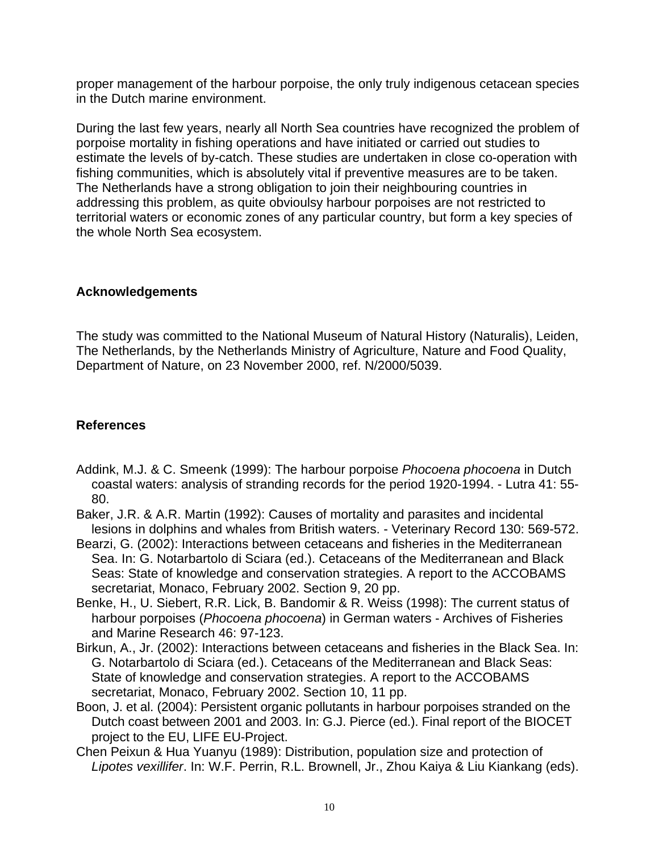proper management of the harbour porpoise, the only truly indigenous cetacean species in the Dutch marine environment.

During the last few years, nearly all North Sea countries have recognized the problem of porpoise mortality in fishing operations and have initiated or carried out studies to estimate the levels of by-catch. These studies are undertaken in close co-operation with fishing communities, which is absolutely vital if preventive measures are to be taken. The Netherlands have a strong obligation to join their neighbouring countries in addressing this problem, as quite obvioulsy harbour porpoises are not restricted to territorial waters or economic zones of any particular country, but form a key species of the whole North Sea ecosystem.

### **Acknowledgements**

The study was committed to the National Museum of Natural History (Naturalis), Leiden, The Netherlands, by the Netherlands Ministry of Agriculture, Nature and Food Quality, Department of Nature, on 23 November 2000, ref. N/2000/5039.

# **References**

- Addink, M.J. & C. Smeenk (1999): The harbour porpoise *Phocoena phocoena* in Dutch coastal waters: analysis of stranding records for the period 1920-1994. - Lutra 41: 55- 80.
- Baker, J.R. & A.R. Martin (1992): Causes of mortality and parasites and incidental lesions in dolphins and whales from British waters. - Veterinary Record 130: 569-572.
- Bearzi, G. (2002): Interactions between cetaceans and fisheries in the Mediterranean Sea. In: G. Notarbartolo di Sciara (ed.). Cetaceans of the Mediterranean and Black Seas: State of knowledge and conservation strategies. A report to the ACCOBAMS secretariat, Monaco, February 2002. Section 9, 20 pp.
- Benke, H., U. Siebert, R.R. Lick, B. Bandomir & R. Weiss (1998): The current status of harbour porpoises (*Phocoena phocoena*) in German waters - Archives of Fisheries and Marine Research 46: 97-123.
- Birkun, A., Jr. (2002): Interactions between cetaceans and fisheries in the Black Sea. In: G. Notarbartolo di Sciara (ed.). Cetaceans of the Mediterranean and Black Seas: State of knowledge and conservation strategies. A report to the ACCOBAMS secretariat, Monaco, February 2002. Section 10, 11 pp.
- Boon, J. et al. (2004): Persistent organic pollutants in harbour porpoises stranded on the Dutch coast between 2001 and 2003. In: G.J. Pierce (ed.). Final report of the BIOCET project to the EU, LIFE EU-Project.
- Chen Peixun & Hua Yuanyu (1989): Distribution, population size and protection of *Lipotes vexillifer*. In: W.F. Perrin, R.L. Brownell, Jr., Zhou Kaiya & Liu Kiankang (eds).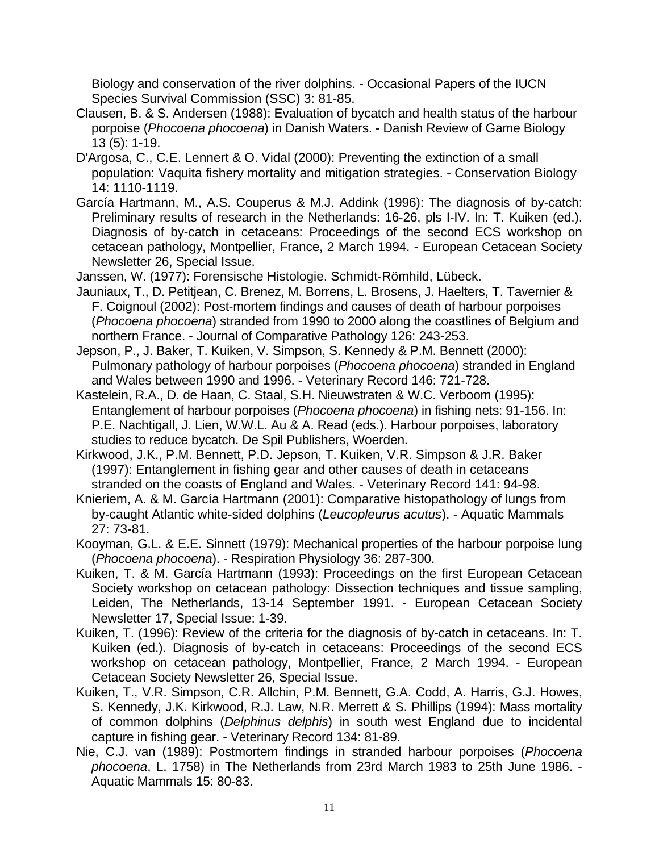Biology and conservation of the river dolphins. - Occasional Papers of the IUCN Species Survival Commission (SSC) 3: 81-85.

- Clausen, B. & S. Andersen (1988): Evaluation of bycatch and health status of the harbour porpoise (*Phocoena phocoena*) in Danish Waters. - Danish Review of Game Biology 13 (5): 1-19.
- D'Argosa, C., C.E. Lennert & O. Vidal (2000): Preventing the extinction of a small population: Vaquita fishery mortality and mitigation strategies. - Conservation Biology 14: 1110-1119.
- García Hartmann, M., A.S. Couperus & M.J. Addink (1996): The diagnosis of by-catch: Preliminary results of research in the Netherlands: 16-26, pls I-IV. In: T. Kuiken (ed.). Diagnosis of by-catch in cetaceans: Proceedings of the second ECS workshop on cetacean pathology, Montpellier, France, 2 March 1994. - European Cetacean Society Newsletter 26, Special Issue.
- Janssen, W. (1977): Forensische Histologie. Schmidt-Römhild, Lübeck.
- Jauniaux, T., D. Petitjean, C. Brenez, M. Borrens, L. Brosens, J. Haelters, T. Tavernier & F. Coignoul (2002): Post-mortem findings and causes of death of harbour porpoises (*Phocoena phocoena*) stranded from 1990 to 2000 along the coastlines of Belgium and northern France. - Journal of Comparative Pathology 126: 243-253.

Jepson, P., J. Baker, T. Kuiken, V. Simpson, S. Kennedy & P.M. Bennett (2000): Pulmonary pathology of harbour porpoises (*Phocoena phocoena*) stranded in England and Wales between 1990 and 1996. - Veterinary Record 146: 721-728.

- Kastelein, R.A., D. de Haan, C. Staal, S.H. Nieuwstraten & W.C. Verboom (1995): Entanglement of harbour porpoises (*Phocoena phocoena*) in fishing nets: 91-156. In: P.E. Nachtigall, J. Lien, W.W.L. Au & A. Read (eds.). Harbour porpoises, laboratory studies to reduce bycatch. De Spil Publishers, Woerden.
- Kirkwood, J.K., P.M. Bennett, P.D. Jepson, T. Kuiken, V.R. Simpson & J.R. Baker (1997): Entanglement in fishing gear and other causes of death in cetaceans stranded on the coasts of England and Wales. - Veterinary Record 141: 94-98.
- Knieriem, A. & M. García Hartmann (2001): Comparative histopathology of lungs from by-caught Atlantic white-sided dolphins (*Leucopleurus acutus*). - Aquatic Mammals 27: 73-81.
- Kooyman, G.L. & E.E. Sinnett (1979): Mechanical properties of the harbour porpoise lung (*Phocoena phocoena*). - Respiration Physiology 36: 287-300.
- Kuiken, T. & M. García Hartmann (1993): Proceedings on the first European Cetacean Society workshop on cetacean pathology: Dissection techniques and tissue sampling, Leiden, The Netherlands, 13-14 September 1991. - European Cetacean Society Newsletter 17, Special Issue: 1-39.
- Kuiken, T. (1996): Review of the criteria for the diagnosis of by-catch in cetaceans. In: T. Kuiken (ed.). Diagnosis of by-catch in cetaceans: Proceedings of the second ECS workshop on cetacean pathology, Montpellier, France, 2 March 1994. - European Cetacean Society Newsletter 26, Special Issue.
- Kuiken, T., V.R. Simpson, C.R. Allchin, P.M. Bennett, G.A. Codd, A. Harris, G.J. Howes, S. Kennedy, J.K. Kirkwood, R.J. Law, N.R. Merrett & S. Phillips (1994): Mass mortality of common dolphins (*Delphinus delphis*) in south west England due to incidental capture in fishing gear. - Veterinary Record 134: 81-89.
- Nie, C.J. van (1989): Postmortem findings in stranded harbour porpoises (*Phocoena phocoena*, L. 1758) in The Netherlands from 23rd March 1983 to 25th June 1986. - Aquatic Mammals 15: 80-83.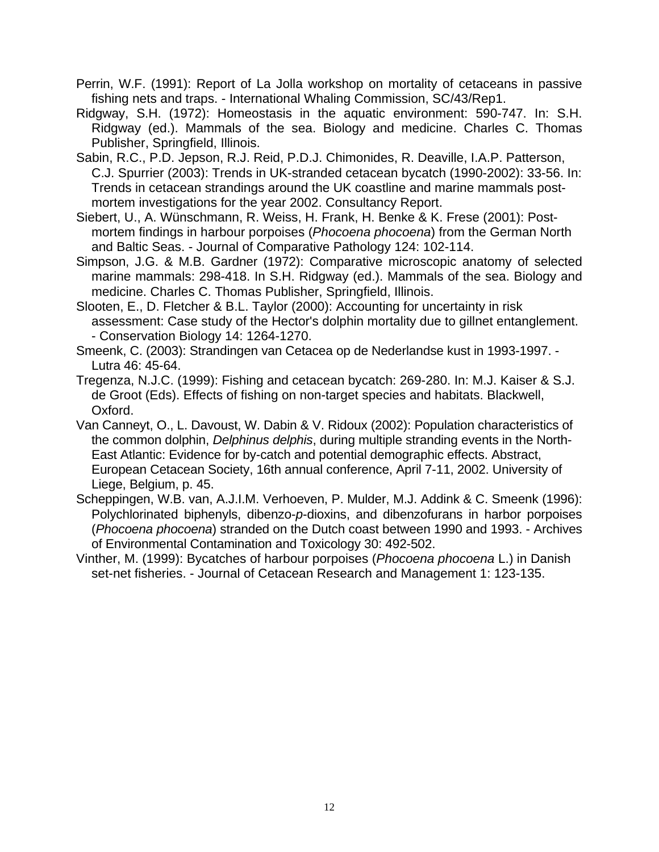- Perrin, W.F. (1991): Report of La Jolla workshop on mortality of cetaceans in passive fishing nets and traps. - International Whaling Commission, SC/43/Rep1.
- Ridgway, S.H. (1972): Homeostasis in the aquatic environment: 590-747. In: S.H. Ridgway (ed.). Mammals of the sea. Biology and medicine. Charles C. Thomas Publisher, Springfield, Illinois.
- Sabin, R.C., P.D. Jepson, R.J. Reid, P.D.J. Chimonides, R. Deaville, I.A.P. Patterson, C.J. Spurrier (2003): Trends in UK-stranded cetacean bycatch (1990-2002): 33-56. In: Trends in cetacean strandings around the UK coastline and marine mammals postmortem investigations for the year 2002. Consultancy Report.
- Siebert, U., A. Wünschmann, R. Weiss, H. Frank, H. Benke & K. Frese (2001): Postmortem findings in harbour porpoises (*Phocoena phocoena*) from the German North and Baltic Seas. - Journal of Comparative Pathology 124: 102-114.
- Simpson, J.G. & M.B. Gardner (1972): Comparative microscopic anatomy of selected marine mammals: 298-418. In S.H. Ridgway (ed.). Mammals of the sea. Biology and medicine. Charles C. Thomas Publisher, Springfield, Illinois.
- Slooten, E., D. Fletcher & B.L. Taylor (2000): Accounting for uncertainty in risk assessment: Case study of the Hector's dolphin mortality due to gillnet entanglement. - Conservation Biology 14: 1264-1270.
- Smeenk, C. (2003): Strandingen van Cetacea op de Nederlandse kust in 1993-1997. Lutra 46: 45-64.
- Tregenza, N.J.C. (1999): Fishing and cetacean bycatch: 269-280. In: M.J. Kaiser & S.J. de Groot (Eds). Effects of fishing on non-target species and habitats. Blackwell, Oxford.
- Van Canneyt, O., L. Davoust, W. Dabin & V. Ridoux (2002): Population characteristics of the common dolphin, *Delphinus delphis*, during multiple stranding events in the North-East Atlantic: Evidence for by-catch and potential demographic effects. Abstract, European Cetacean Society, 16th annual conference, April 7-11, 2002. University of Liege, Belgium, p. 45.
- Scheppingen, W.B. van, A.J.I.M. Verhoeven, P. Mulder, M.J. Addink & C. Smeenk (1996): Polychlorinated biphenyls, dibenzo-*p*-dioxins, and dibenzofurans in harbor porpoises (*Phocoena phocoena*) stranded on the Dutch coast between 1990 and 1993. - Archives of Environmental Contamination and Toxicology 30: 492-502.
- Vinther, M. (1999): Bycatches of harbour porpoises (*Phocoena phocoena* L.) in Danish set-net fisheries. - Journal of Cetacean Research and Management 1: 123-135.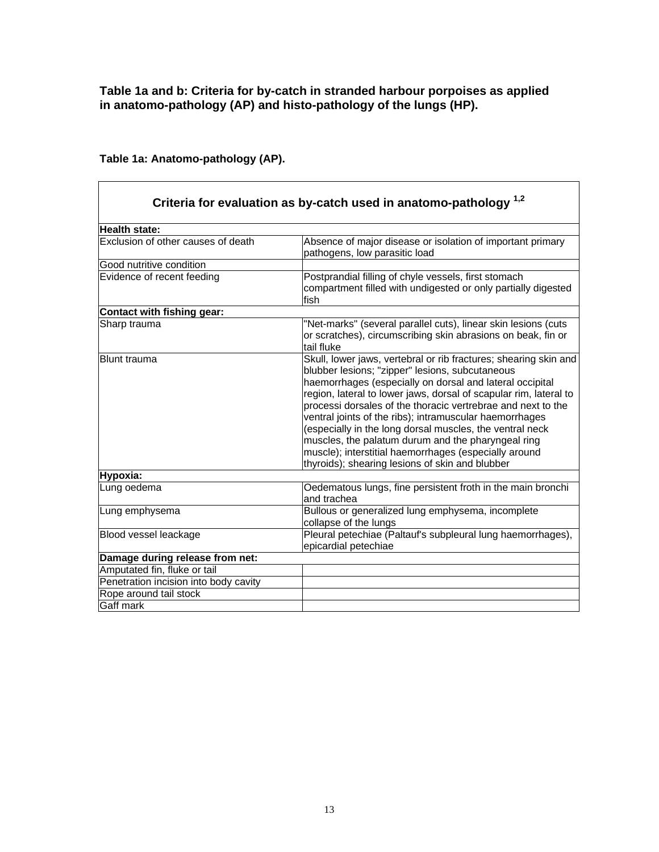#### **Table 1a and b: Criteria for by-catch in stranded harbour porpoises as applied in anatomo-pathology (AP) and histo-pathology of the lungs (HP).**

|                                       | Criteria for evaluation as by-catch used in anatomo-pathology <sup>1,2</sup>                                                                                                                                                                                                                                                                                                                                                                                                                                                                                                                                  |
|---------------------------------------|---------------------------------------------------------------------------------------------------------------------------------------------------------------------------------------------------------------------------------------------------------------------------------------------------------------------------------------------------------------------------------------------------------------------------------------------------------------------------------------------------------------------------------------------------------------------------------------------------------------|
| Health state:                         |                                                                                                                                                                                                                                                                                                                                                                                                                                                                                                                                                                                                               |
| Exclusion of other causes of death    | Absence of major disease or isolation of important primary<br>pathogens, low parasitic load                                                                                                                                                                                                                                                                                                                                                                                                                                                                                                                   |
| Good nutritive condition              |                                                                                                                                                                                                                                                                                                                                                                                                                                                                                                                                                                                                               |
| Evidence of recent feeding            | Postprandial filling of chyle vessels, first stomach<br>compartment filled with undigested or only partially digested<br>fish                                                                                                                                                                                                                                                                                                                                                                                                                                                                                 |
| Contact with fishing gear:            |                                                                                                                                                                                                                                                                                                                                                                                                                                                                                                                                                                                                               |
| Sharp trauma                          | "Net-marks" (several parallel cuts), linear skin lesions (cuts<br>or scratches), circumscribing skin abrasions on beak, fin or<br>tail fluke                                                                                                                                                                                                                                                                                                                                                                                                                                                                  |
| <b>Blunt trauma</b>                   | Skull, lower jaws, vertebral or rib fractures; shearing skin and<br>blubber lesions; "zipper" lesions, subcutaneous<br>haemorrhages (especially on dorsal and lateral occipital<br>region, lateral to lower jaws, dorsal of scapular rim, lateral to<br>processi dorsales of the thoracic vertrebrae and next to the<br>ventral joints of the ribs); intramuscular haemorrhages<br>(especially in the long dorsal muscles, the ventral neck<br>muscles, the palatum durum and the pharyngeal ring<br>muscle); interstitial haemorrhages (especially around<br>thyroids); shearing lesions of skin and blubber |
| Hypoxia:                              |                                                                                                                                                                                                                                                                                                                                                                                                                                                                                                                                                                                                               |
| Lung oedema                           | Oedematous lungs, fine persistent froth in the main bronchi<br>and trachea                                                                                                                                                                                                                                                                                                                                                                                                                                                                                                                                    |
| Lung emphysema                        | Bullous or generalized lung emphysema, incomplete<br>collapse of the lungs                                                                                                                                                                                                                                                                                                                                                                                                                                                                                                                                    |
| Blood vessel leackage                 | Pleural petechiae (Paltauf's subpleural lung haemorrhages),<br>epicardial petechiae                                                                                                                                                                                                                                                                                                                                                                                                                                                                                                                           |
| Damage during release from net:       |                                                                                                                                                                                                                                                                                                                                                                                                                                                                                                                                                                                                               |
| Amputated fin, fluke or tail          |                                                                                                                                                                                                                                                                                                                                                                                                                                                                                                                                                                                                               |
| Penetration incision into body cavity |                                                                                                                                                                                                                                                                                                                                                                                                                                                                                                                                                                                                               |
| Rope around tail stock                |                                                                                                                                                                                                                                                                                                                                                                                                                                                                                                                                                                                                               |
| Gaff mark                             |                                                                                                                                                                                                                                                                                                                                                                                                                                                                                                                                                                                                               |

#### **Table 1a: Anatomo-pathology (AP).**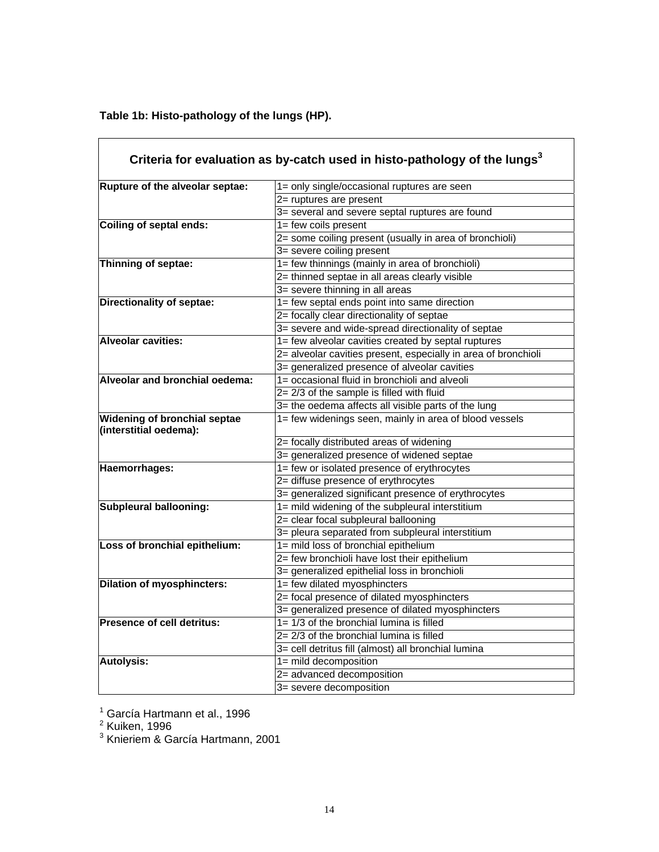**Table 1b: Histo-pathology of the lungs (HP).** 

 $\overline{1}$ 

|                                                               | Criteria for evaluation as by-catch used in histo-pathology of the lungs <sup>3</sup> |  |  |  |
|---------------------------------------------------------------|---------------------------------------------------------------------------------------|--|--|--|
| Rupture of the alveolar septae:                               | 1= only single/occasional ruptures are seen                                           |  |  |  |
|                                                               | 2= ruptures are present                                                               |  |  |  |
|                                                               | 3= several and severe septal ruptures are found                                       |  |  |  |
| <b>Coiling of septal ends:</b>                                | 1= few coils present                                                                  |  |  |  |
|                                                               | 2= some coiling present (usually in area of bronchioli)                               |  |  |  |
|                                                               | 3= severe coiling present                                                             |  |  |  |
| Thinning of septae:                                           | 1= few thinnings (mainly in area of bronchioli)                                       |  |  |  |
|                                                               | 2= thinned septae in all areas clearly visible                                        |  |  |  |
|                                                               | 3= severe thinning in all areas                                                       |  |  |  |
| <b>Directionality of septae:</b>                              | 1= few septal ends point into same direction                                          |  |  |  |
|                                                               | 2= focally clear directionality of septae                                             |  |  |  |
|                                                               | 3= severe and wide-spread directionality of septae                                    |  |  |  |
| <b>Alveolar cavities:</b>                                     | 1= few alveolar cavities created by septal ruptures                                   |  |  |  |
|                                                               | 2= alveolar cavities present, especially in area of bronchioli                        |  |  |  |
|                                                               | 3= generalized presence of alveolar cavities                                          |  |  |  |
| Alveolar and bronchial oedema:                                | 1= occasional fluid in bronchioli and alveoli                                         |  |  |  |
|                                                               | $2 = 2/3$ of the sample is filled with fluid                                          |  |  |  |
|                                                               | 3= the oedema affects all visible parts of the lung                                   |  |  |  |
| <b>Widening of bronchial septae</b><br>(interstitial oedema): | 1= few widenings seen, mainly in area of blood vessels                                |  |  |  |
|                                                               | 2= focally distributed areas of widening                                              |  |  |  |
|                                                               | 3= generalized presence of widened septae                                             |  |  |  |
| Haemorrhages:                                                 | 1= few or isolated presence of erythrocytes                                           |  |  |  |
|                                                               | 2= diffuse presence of erythrocytes                                                   |  |  |  |
|                                                               | 3= generalized significant presence of erythrocytes                                   |  |  |  |
| <b>Subpleural ballooning:</b>                                 | 1= mild widening of the subpleural interstitium                                       |  |  |  |
|                                                               | 2= clear focal subpleural ballooning                                                  |  |  |  |
|                                                               | 3= pleura separated from subpleural interstitium                                      |  |  |  |
| Loss of bronchial epithelium:                                 | 1= mild loss of bronchial epithelium                                                  |  |  |  |
|                                                               | 2= few bronchioli have lost their epithelium                                          |  |  |  |
|                                                               | 3= generalized epithelial loss in bronchioli                                          |  |  |  |
| <b>Dilation of myosphincters:</b>                             | 1= few dilated myosphincters                                                          |  |  |  |
|                                                               | 2= focal presence of dilated myosphincters                                            |  |  |  |
|                                                               | 3= generalized presence of dilated myosphincters                                      |  |  |  |
| <b>Presence of cell detritus:</b>                             | $1 = 1/3$ of the bronchial lumina is filled                                           |  |  |  |
|                                                               | $2 = 2/3$ of the bronchial lumina is filled                                           |  |  |  |
|                                                               | 3= cell detritus fill (almost) all bronchial lumina                                   |  |  |  |
| <b>Autolysis:</b>                                             | 1= mild decomposition                                                                 |  |  |  |
|                                                               | 2= advanced decomposition                                                             |  |  |  |
|                                                               | 3= severe decomposition                                                               |  |  |  |

<sup>1</sup> García Hartmann et al., 1996<br><sup>2</sup> Kuiken, 1996<br><sup>3</sup> Knieriem & García Hartmann, 2001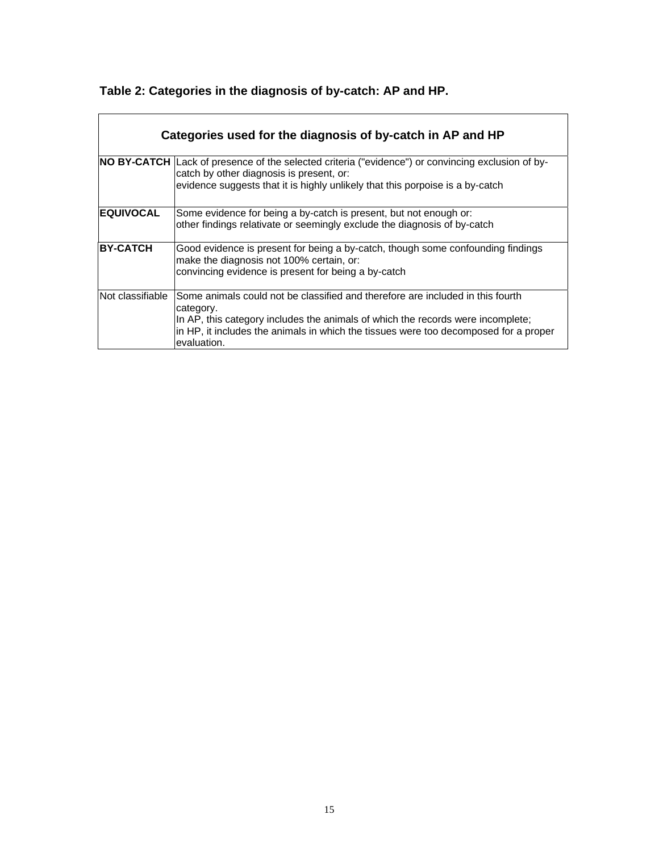| Table 2: Categories in the diagnosis of by-catch: AP and HP. |  |
|--------------------------------------------------------------|--|
|                                                              |  |

| Categories used for the diagnosis of by-catch in AP and HP |                                                                                                                                                                                                                                                                                       |  |  |  |  |  |  |
|------------------------------------------------------------|---------------------------------------------------------------------------------------------------------------------------------------------------------------------------------------------------------------------------------------------------------------------------------------|--|--|--|--|--|--|
|                                                            | NO BY-CATCH Lack of presence of the selected criteria ("evidence") or convincing exclusion of by-<br>catch by other diagnosis is present, or:<br>evidence suggests that it is highly unlikely that this porpoise is a by-catch                                                        |  |  |  |  |  |  |
| <b>EQUIVOCAL</b>                                           | Some evidence for being a by-catch is present, but not enough or:<br>other findings relativate or seemingly exclude the diagnosis of by-catch                                                                                                                                         |  |  |  |  |  |  |
| <b>BY-CATCH</b>                                            | Good evidence is present for being a by-catch, though some confounding findings<br>make the diagnosis not 100% certain, or:<br>convincing evidence is present for being a by-catch                                                                                                    |  |  |  |  |  |  |
| Not classifiable                                           | Some animals could not be classified and therefore are included in this fourth<br>category.<br>In AP, this category includes the animals of which the records were incomplete;<br>in HP, it includes the animals in which the tissues were too decomposed for a proper<br>evaluation. |  |  |  |  |  |  |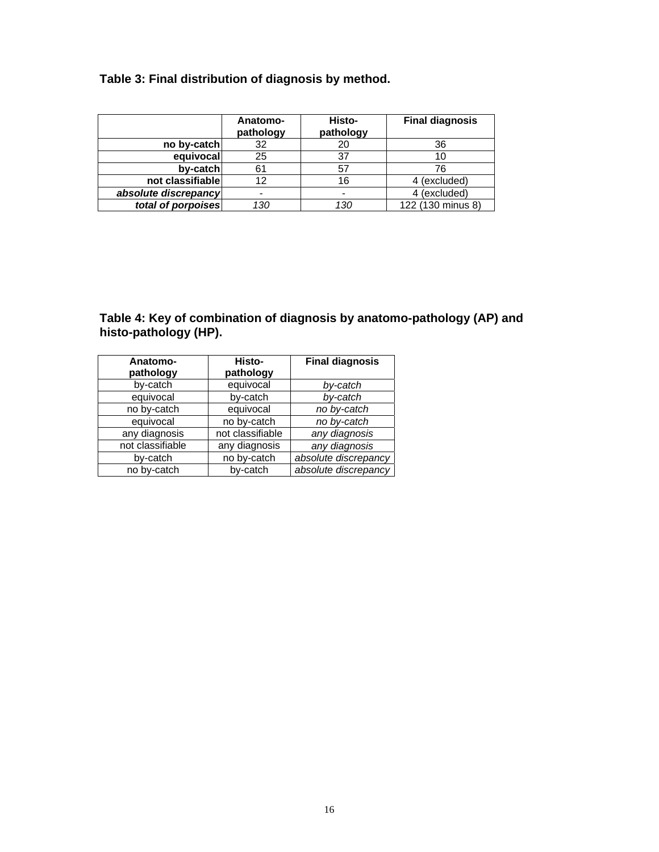### **Table 3: Final distribution of diagnosis by method.**

|                      | Anatomo-<br>pathology | Histo-<br>pathology | <b>Final diagnosis</b> |
|----------------------|-----------------------|---------------------|------------------------|
| no by-catch          | 32                    | 20                  | 36                     |
| equivocal            | 25                    | 37                  | 10                     |
| by-catch             | 61                    | 57                  | 76                     |
| not classifiable     | 12                    | 16                  | 4 (excluded)           |
| absolute discrepancy |                       |                     | 4 (excluded)           |
| total of porpoises   | 130                   | 130                 | 122 (130 minus 8)      |

#### **Table 4: Key of combination of diagnosis by anatomo-pathology (AP) and histo-pathology (HP).**

| Anatomo-<br>pathology | Histo-<br>pathology | <b>Final diagnosis</b> |  |
|-----------------------|---------------------|------------------------|--|
| by-catch              | equivocal           | by-catch               |  |
| equivocal             | by-catch            | by-catch               |  |
| no by-catch           | equivocal           | no by-catch            |  |
| equivocal             | no by-catch         | no by-catch            |  |
| any diagnosis         | not classifiable    | any diagnosis          |  |
| not classifiable      | any diagnosis       | any diagnosis          |  |
| by-catch              | no by-catch         | absolute discrepancy   |  |
| no by-catch           | by-catch            | absolute discrepancy   |  |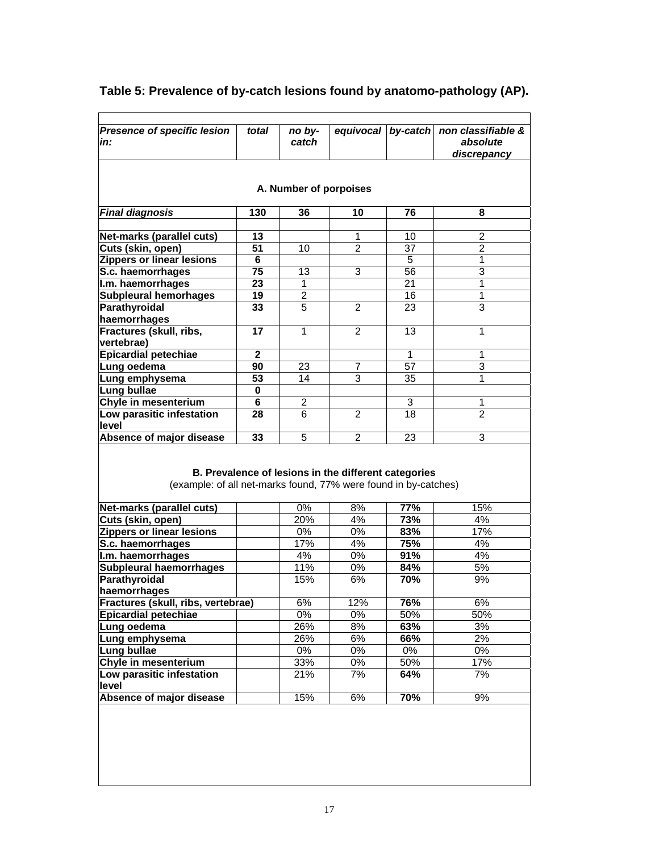| in:                                                                                                                                                                                                                                                                                                                   | total        | no by-<br>catch | equivocal                                            | by-catch | non classifiable &<br>absolute<br>discrepancy |  |  |
|-----------------------------------------------------------------------------------------------------------------------------------------------------------------------------------------------------------------------------------------------------------------------------------------------------------------------|--------------|-----------------|------------------------------------------------------|----------|-----------------------------------------------|--|--|
| A. Number of porpoises                                                                                                                                                                                                                                                                                                |              |                 |                                                      |          |                                               |  |  |
| <b>Final diagnosis</b>                                                                                                                                                                                                                                                                                                | 130          | 36              | 10                                                   | 76       | 8                                             |  |  |
|                                                                                                                                                                                                                                                                                                                       |              |                 |                                                      |          |                                               |  |  |
| <b>Net-marks (parallel cuts)</b>                                                                                                                                                                                                                                                                                      | 13           |                 | 1                                                    | 10       | $\overline{2}$                                |  |  |
| Cuts (skin, open)                                                                                                                                                                                                                                                                                                     | 51           | 10              | $\overline{2}$                                       | 37       | $\overline{2}$                                |  |  |
| <b>Zippers or linear lesions</b>                                                                                                                                                                                                                                                                                      | 6            |                 |                                                      | 5        | 1                                             |  |  |
| S.c. haemorrhages                                                                                                                                                                                                                                                                                                     | 75           | 13              | 3                                                    | 56       | 3                                             |  |  |
| I.m. haemorrhages                                                                                                                                                                                                                                                                                                     | 23           | 1               |                                                      | 21       | $\mathbf{1}$                                  |  |  |
| <b>Subpleural hemorhages</b>                                                                                                                                                                                                                                                                                          | 19           | $\overline{2}$  |                                                      | 16       | 1                                             |  |  |
| Parathyroidal                                                                                                                                                                                                                                                                                                         | 33           | 5               | $\overline{2}$                                       | 23       | 3                                             |  |  |
| haemorrhages                                                                                                                                                                                                                                                                                                          |              |                 |                                                      |          |                                               |  |  |
| Fractures (skull, ribs,                                                                                                                                                                                                                                                                                               | 17           | 1               | 2                                                    | 13       | 1                                             |  |  |
| vertebrae)                                                                                                                                                                                                                                                                                                            | $\mathbf{2}$ |                 |                                                      | 1        | $\mathbf{1}$                                  |  |  |
| <b>Epicardial petechiae</b>                                                                                                                                                                                                                                                                                           | 90           | 23              | 7                                                    | 57       | 3                                             |  |  |
| Lung oedema                                                                                                                                                                                                                                                                                                           |              |                 | 3                                                    |          | 1                                             |  |  |
| Lung emphysema                                                                                                                                                                                                                                                                                                        | 53           | 14              |                                                      | 35       |                                               |  |  |
| Lung bullae                                                                                                                                                                                                                                                                                                           | 0            |                 |                                                      |          |                                               |  |  |
|                                                                                                                                                                                                                                                                                                                       | 6            | 2               |                                                      | 3<br>18  | 1<br>$\overline{2}$                           |  |  |
|                                                                                                                                                                                                                                                                                                                       |              |                 |                                                      |          |                                               |  |  |
|                                                                                                                                                                                                                                                                                                                       | 28           | 6               | $\overline{2}$                                       |          |                                               |  |  |
|                                                                                                                                                                                                                                                                                                                       | 33           | 5               | $\mathcal{P}$                                        | 23       | 3                                             |  |  |
|                                                                                                                                                                                                                                                                                                                       |              |                 | B. Prevalence of lesions in the different categories |          |                                               |  |  |
| (example: of all net-marks found, 77% were found in by-catches)                                                                                                                                                                                                                                                       |              |                 |                                                      |          |                                               |  |  |
|                                                                                                                                                                                                                                                                                                                       |              | 0%              | 8%                                                   | 77%      | 15%                                           |  |  |
|                                                                                                                                                                                                                                                                                                                       |              | 20%             | 4%                                                   | 73%      | 4%                                            |  |  |
| Net-marks (parallel cuts)<br>Cuts (skin, open)<br><b>Zippers or linear lesions</b>                                                                                                                                                                                                                                    |              | 0%              | 0%                                                   | 83%      | 17%                                           |  |  |
| S.c. haemorrhages                                                                                                                                                                                                                                                                                                     |              | 17%             | 4%                                                   | 75%      | 4%                                            |  |  |
|                                                                                                                                                                                                                                                                                                                       |              | 4%              | 0%                                                   | 91%      | 4%                                            |  |  |
|                                                                                                                                                                                                                                                                                                                       |              | 11%             | $0\%$                                                | 84%      | 5%                                            |  |  |
|                                                                                                                                                                                                                                                                                                                       |              | 15%             | 6%                                                   | 70%      | 9%                                            |  |  |
|                                                                                                                                                                                                                                                                                                                       |              |                 |                                                      |          |                                               |  |  |
|                                                                                                                                                                                                                                                                                                                       |              | 6%              | 12%                                                  | 76%      | 6%                                            |  |  |
|                                                                                                                                                                                                                                                                                                                       |              | 0%              | 0%                                                   | 50%      | 50%                                           |  |  |
|                                                                                                                                                                                                                                                                                                                       |              | 26%             | 8%                                                   | 63%      | 3%                                            |  |  |
|                                                                                                                                                                                                                                                                                                                       |              | 26%             | 6%                                                   | 66%      | 2%                                            |  |  |
|                                                                                                                                                                                                                                                                                                                       |              | 0%              | $0\%$                                                | 0%       | 0%                                            |  |  |
| <b>Subpleural haemorrhages</b><br>Fractures (skull, ribs, vertebrae)                                                                                                                                                                                                                                                  |              | 33%             | $0\%$                                                | 50%      | 17%                                           |  |  |
|                                                                                                                                                                                                                                                                                                                       |              | 21%             | 7%                                                   | 64%      | 7%                                            |  |  |
| Chyle in mesenterium<br>Low parasitic infestation<br>level<br>Absence of major disease<br>I.m. haemorrhages<br>Parathyroidal<br>haemorrhages<br><b>Epicardial petechiae</b><br>Lung oedema<br>Lung emphysema<br>Lung bullae<br>Chyle in mesenterium<br>Low parasitic infestation<br>level<br>Absence of major disease |              | 15%             | 6%                                                   | 70%      | 9%                                            |  |  |

# **Table 5: Prevalence of by-catch lesions found by anatomo-pathology (AP).**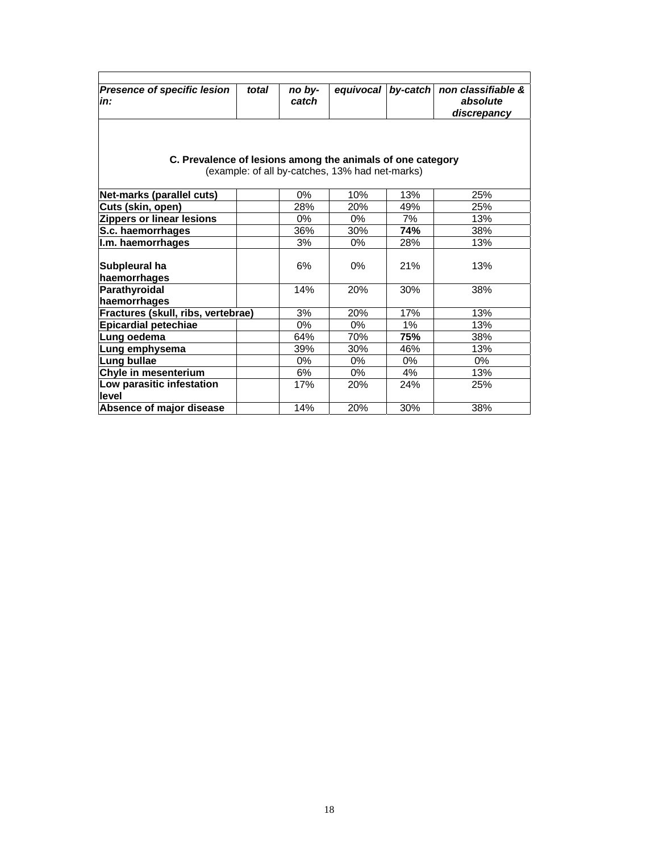| <b>Presence of specific lesion</b><br>in:                                                                     | total | no by-<br>catch | equivocal by-catch |       | non classifiable &<br>absolute<br>discrepancy |  |  |
|---------------------------------------------------------------------------------------------------------------|-------|-----------------|--------------------|-------|-----------------------------------------------|--|--|
| C. Prevalence of lesions among the animals of one category<br>(example: of all by-catches, 13% had net-marks) |       |                 |                    |       |                                               |  |  |
| Net-marks (parallel cuts)                                                                                     |       | $0\%$           | 10%                | 13%   | 25%                                           |  |  |
| Cuts (skin, open)                                                                                             |       | 28%             | 20%                | 49%   | 25%                                           |  |  |
| <b>Zippers or linear lesions</b>                                                                              |       | $0\%$           | $0\%$              | 7%    | 13%                                           |  |  |
| S.c. haemorrhages                                                                                             |       | 36%             | 30%                | 74%   | 38%                                           |  |  |
| I.m. haemorrhages                                                                                             |       | 3%              | $0\%$              | 28%   | 13%                                           |  |  |
| Subpleural ha<br>haemorrhages                                                                                 |       | 6%              | $0\%$              | 21%   | 13%                                           |  |  |
| Parathyroidal<br>haemorrhages                                                                                 |       | 14%             | 20%                | 30%   | 38%                                           |  |  |
| Fractures (skull, ribs, vertebrae)                                                                            |       | 3%              | 20%                | 17%   | 13%                                           |  |  |
| <b>Epicardial petechiae</b>                                                                                   |       | $0\%$           | $0\%$              | 1%    | 13%                                           |  |  |
| Lung oedema                                                                                                   |       | 64%             | 70%                | 75%   | 38%                                           |  |  |
| Lung emphysema                                                                                                |       | 39%             | 30%                | 46%   | 13%                                           |  |  |
| Lung bullae                                                                                                   |       | $0\%$           | $0\%$              | $0\%$ | 0%                                            |  |  |
| Chyle in mesenterium                                                                                          |       | 6%              | 0%                 | 4%    | 13%                                           |  |  |
| Low parasitic infestation                                                                                     |       | 17%             | 20%                | 24%   | 25%                                           |  |  |
| level                                                                                                         |       |                 |                    |       |                                               |  |  |
| Absence of major disease                                                                                      |       | 14%             | 20%                | 30%   | 38%                                           |  |  |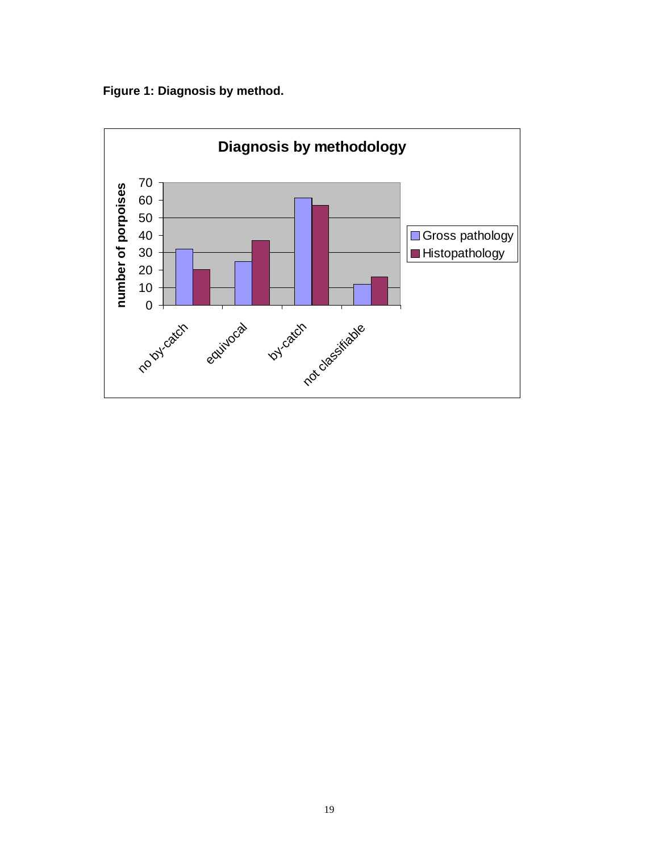**Figure 1: Diagnosis by method.** 

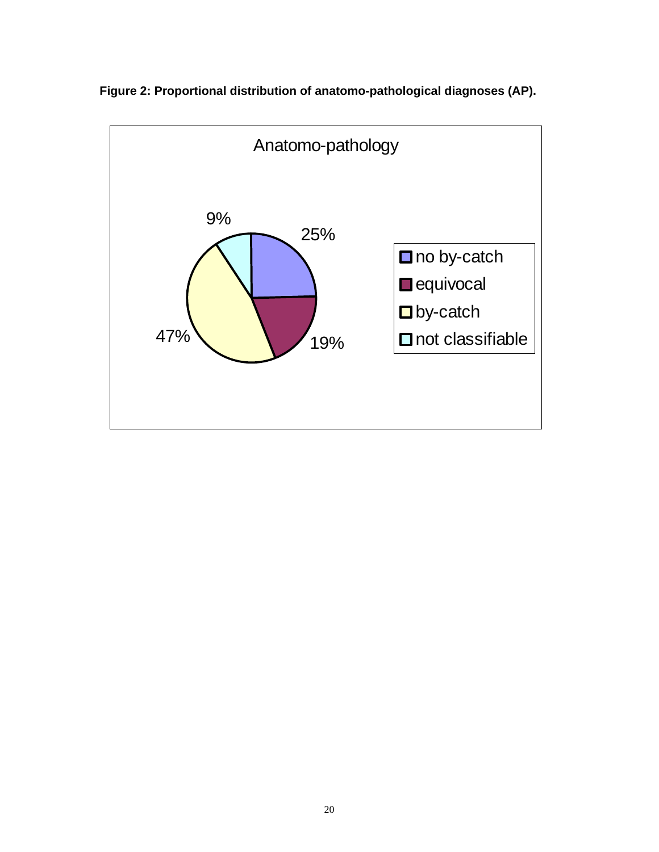

**Figure 2: Proportional distribution of anatomo-pathological diagnoses (AP).**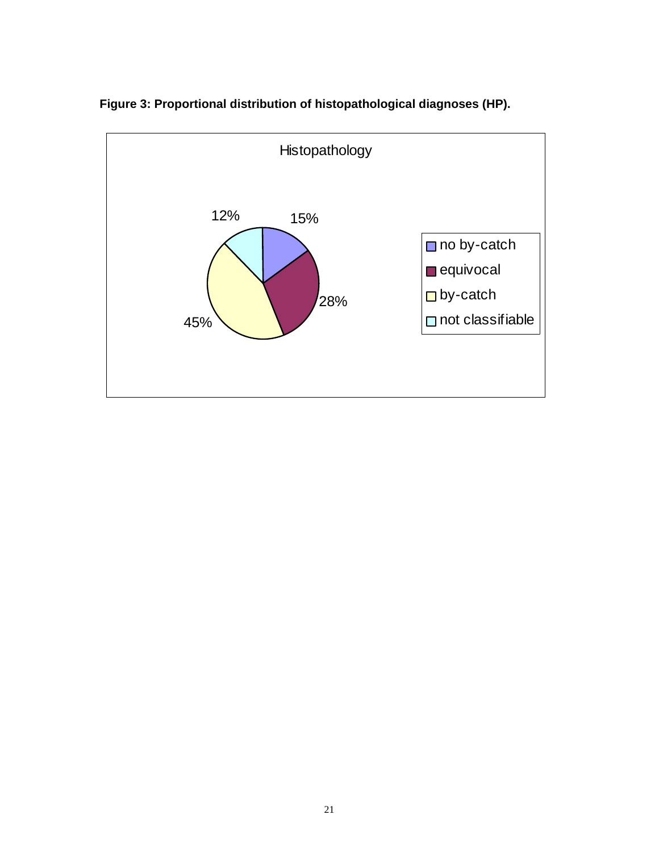

**Figure 3: Proportional distribution of histopathological diagnoses (HP).**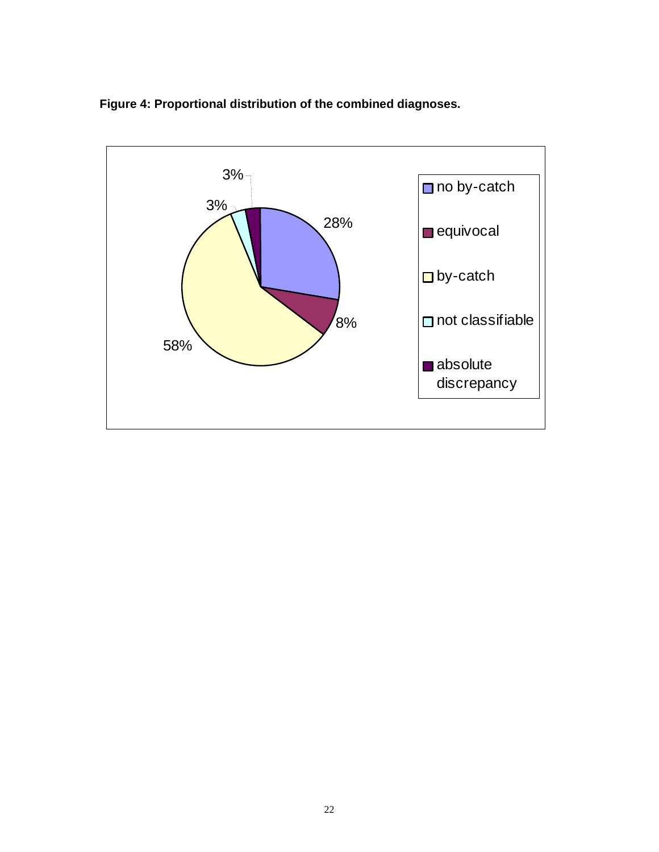

**Figure 4: Proportional distribution of the combined diagnoses.**